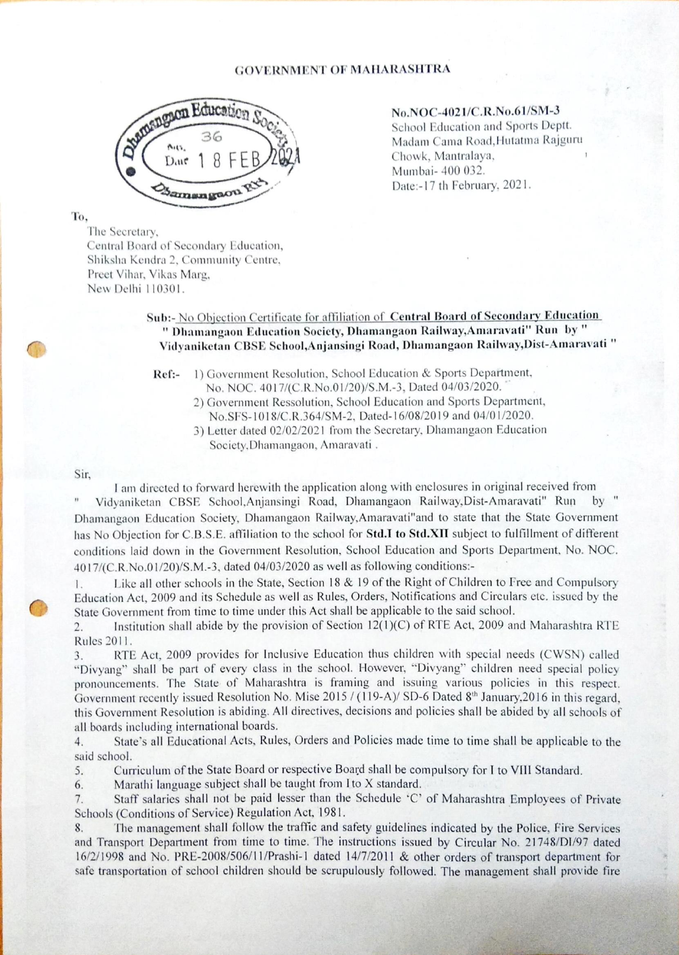

No.NOC-4021/C.R.No.61/SM-3 School Education and Sports Deptt.<br>Madam Cama Road,Hutatma Rajguru Chowk, Mantralaya,<br>Mumbai- 400 032. Date:-17 th February, 2021.

## To,

The Secretary, Central Board of Secondary Education, Shiksha Kendra 2, Community Centre, Preet Vihar, Vikas Marg, New Delhi 110301.

## Sub:- No Objection Certificate for affiliation of Central Board of Secondary Education " Dhamangaon Education Society, Dhamangaon Railway,Amaravati" Run by " Vidyaniketan CBSE School,Anjansingi Road, Dhamangaon Railway,Dist-Amaravati "

Ref:- 1) Government Resolution, School Education & Sports Department, No. NOC. 4017/(C.R.No.01/20)/S.M.-3, Dated 04/03/2020.

- 2) Government Ressolution, School Education and Sports Departinent, No.SFS-1018/C.R.364/SM-2, Dated-16/08/2019 and 04/01/2020.
- 3) Letter dated 02/02/2021 from the Secretary, Dhamangaon Education Society, Dhamangaon, Amaravati.

## Sir,

I am directed to forward herewith the application along with enclosures in original received from

Vidyaniketan CBSE School,Anjansingi Road, Dhamangaon Railway,Dist-Amaravati" Run Dhamangaon Education Society, Dhamangaon Railway,Amaravati"and to state that the State Government has No Objection for C.B.S.E. affiliation to the school for Std.I to Std.XII subject to fulfillment of different conditions laid down in the Government Resolution, School Education and Sports Department, No. NOC. 40 17/(C.R.No.01/20)/S.M.-3, dated 04/03/2020 as well as following conditions:-

1. Like all other schools in the State, Section 18 & 19 of the Right of Children to Free and Compulsory Education Act, 2009 and its Schedule as well as Rules, Orders, Notifications and Circulars etc. issued by the State Government from time to time under this Act shall be applicable to the said school.

2. Institution shall abide by the provision of Section 12(l)(C) of RTE Act, 2009 and Maharashtra RTE Rules 2011.

3. RTE Act, 2009 provides for Inelusive Education thus children with special needs (CWSN) called "Divyang" shall be part of every class in the school. However, "Divyang" children need special policy pronouncernents. The State of Maharashtra is framing and issuing various policies in this respect. Government recently issued Resolution No. Mise 2015 / (119-A)/ SD-6 Dated 8<sup>th</sup> January, 2016 in this regard, this Government Resolution is abiding. All directives, decisions and policies shall be abided by all schools of all boards including international boards.

4. State's all Educational Acts, Rules, Orders and Policies made time to time shall be applicable to the said school.

5. Curriculum of the State Board or respective Board shall be compulsory for I to VIII Standard.

6. Marathi language subject shall be taught from I to X standard.

Staff salaries shall not be paid lesser than the Schedule 'C' of Maharashtra Employees of Private 7. Schools (Conditions of Service) Regulation Act, 1981.

8. The management shall follow the traffic and safety guidelines indicated by the Police, Fire Services and Transport Department from time to time. The instructions issued by Circular No. 21748/DI/97 dated 16/2/1998 and No. PRE-2()08/506/11/Prashi-l dated 14/7/2011 & other orders of transport department for safe transportation of school children should be scrupulously followed. The management shall provide fire